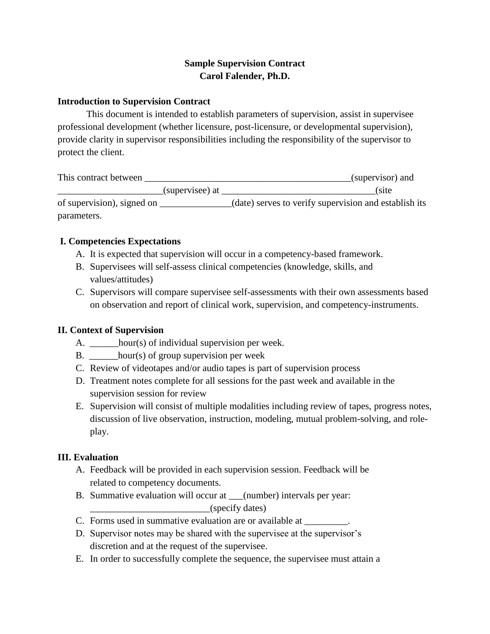### **Sample Supervision Contract Carol Falender, Ph.D.**

### **Introduction to Supervision Contract**

This document is intended to establish parameters of supervision, assist in supervisee professional development (whether licensure, post-licensure, or developmental supervision), provide clarity in supervisor responsibilities including the responsibility of the supervisor to protect the client.

| This contract between      |                 | (supervisor) and                                      |
|----------------------------|-----------------|-------------------------------------------------------|
|                            | (supervisee) at | (site                                                 |
| of supervision), signed on |                 | (date) serves to verify supervision and establish its |
| parameters.                |                 |                                                       |

### **I. Competencies Expectations**

- A. It is expected that supervision will occur in a competency-based framework.
- B. Supervisees will self-assess clinical competencies (knowledge, skills, and values/attitudes)
- C. Supervisors will compare supervisee self-assessments with their own assessments based on observation and report of clinical work, supervision, and competency-instruments.

### **II. Context of Supervision**

- A. \_\_\_\_\_\_hour(s) of individual supervision per week.
- B. \_\_\_\_\_\_hour(s) of group supervision per week
- C. Review of videotapes and/or audio tapes is part of supervision process
- D. Treatment notes complete for all sessions for the past week and available in the supervision session for review
- E. Supervision will consist of multiple modalities including review of tapes, progress notes, discussion of live observation, instruction, modeling, mutual problem-solving, and roleplay.

### **III. Evaluation**

- A. Feedback will be provided in each supervision session. Feedback will be related to competency documents.
- B. Summative evaluation will occur at \_\_\_(number) intervals per year: \_\_\_\_\_\_\_\_\_\_\_\_\_\_\_\_\_\_\_\_\_\_\_\_\_(specify dates)
- C. Forms used in summative evaluation are or available at \_\_\_\_\_\_\_\_\_\_.
- D. Supervisor notes may be shared with the supervisee at the supervisor's discretion and at the request of the supervisee.
- E. In order to successfully complete the sequence, the supervisee must attain a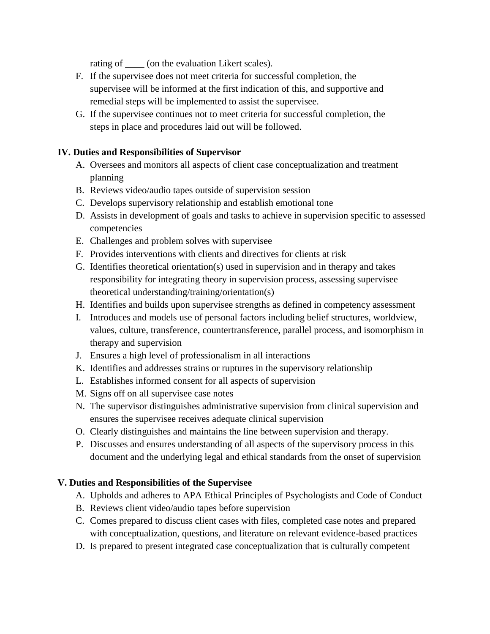rating of \_\_\_\_ (on the evaluation Likert scales).

- F. If the supervisee does not meet criteria for successful completion, the supervisee will be informed at the first indication of this, and supportive and remedial steps will be implemented to assist the supervisee.
- G. If the supervisee continues not to meet criteria for successful completion, the steps in place and procedures laid out will be followed.

# **IV. Duties and Responsibilities of Supervisor**

- A. Oversees and monitors all aspects of client case conceptualization and treatment planning
- B. Reviews video/audio tapes outside of supervision session
- C. Develops supervisory relationship and establish emotional tone
- D. Assists in development of goals and tasks to achieve in supervision specific to assessed competencies
- E. Challenges and problem solves with supervisee
- F. Provides interventions with clients and directives for clients at risk
- G. Identifies theoretical orientation(s) used in supervision and in therapy and takes responsibility for integrating theory in supervision process, assessing supervisee theoretical understanding/training/orientation(s)
- H. Identifies and builds upon supervisee strengths as defined in competency assessment
- I. Introduces and models use of personal factors including belief structures, worldview, values, culture, transference, countertransference, parallel process, and isomorphism in therapy and supervision
- J. Ensures a high level of professionalism in all interactions
- K. Identifies and addresses strains or ruptures in the supervisory relationship
- L. Establishes informed consent for all aspects of supervision
- M. Signs off on all supervisee case notes
- N. The supervisor distinguishes administrative supervision from clinical supervision and ensures the supervisee receives adequate clinical supervision
- O. Clearly distinguishes and maintains the line between supervision and therapy.
- P. Discusses and ensures understanding of all aspects of the supervisory process in this document and the underlying legal and ethical standards from the onset of supervision

# **V. Duties and Responsibilities of the Supervisee**

- A. Upholds and adheres to APA Ethical Principles of Psychologists and Code of Conduct
- B. Reviews client video/audio tapes before supervision
- C. Comes prepared to discuss client cases with files, completed case notes and prepared with conceptualization, questions, and literature on relevant evidence-based practices
- D. Is prepared to present integrated case conceptualization that is culturally competent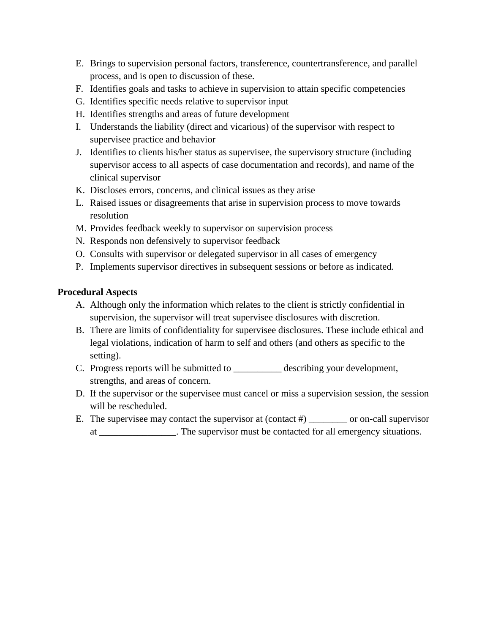- E. Brings to supervision personal factors, transference, countertransference, and parallel process, and is open to discussion of these.
- F. Identifies goals and tasks to achieve in supervision to attain specific competencies
- G. Identifies specific needs relative to supervisor input
- H. Identifies strengths and areas of future development
- I. Understands the liability (direct and vicarious) of the supervisor with respect to supervisee practice and behavior
- J. Identifies to clients his/her status as supervisee, the supervisory structure (including supervisor access to all aspects of case documentation and records), and name of the clinical supervisor
- K. Discloses errors, concerns, and clinical issues as they arise
- L. Raised issues or disagreements that arise in supervision process to move towards resolution
- M. Provides feedback weekly to supervisor on supervision process
- N. Responds non defensively to supervisor feedback
- O. Consults with supervisor or delegated supervisor in all cases of emergency
- P. Implements supervisor directives in subsequent sessions or before as indicated.

### **Procedural Aspects**

- A. Although only the information which relates to the client is strictly confidential in supervision, the supervisor will treat supervisee disclosures with discretion.
- B. There are limits of confidentiality for supervisee disclosures. These include ethical and legal violations, indication of harm to self and others (and others as specific to the setting).
- C. Progress reports will be submitted to \_\_\_\_\_\_\_\_\_\_ describing your development, strengths, and areas of concern.
- D. If the supervisor or the supervisee must cancel or miss a supervision session, the session will be rescheduled.
- E. The supervisee may contact the supervisor at (contact #) \_\_\_\_\_\_\_\_ or on-call supervisor at \_\_\_\_\_\_\_\_\_\_\_\_\_\_\_\_. The supervisor must be contacted for all emergency situations.